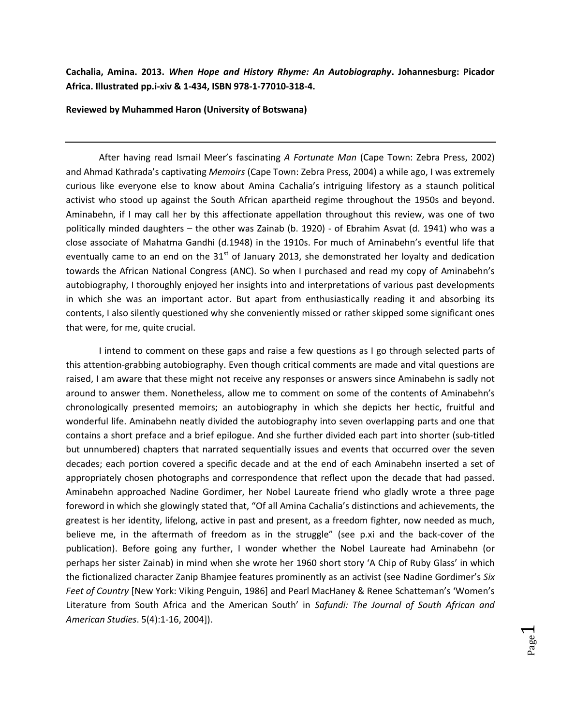**Cachalia, Amina. 2013.** *When Hope and History Rhyme: An Autobiography***. Johannesburg: Picador Africa. Illustrated pp.i-xiv & 1-434, ISBN 978-1-77010-318-4.**

**Reviewed by Muhammed Haron (University of Botswana)**

After having read Ismail Meer's fascinating *A Fortunate Man* (Cape Town: Zebra Press, 2002) and Ahmad Kathrada's captivating *Memoirs* (Cape Town: Zebra Press, 2004) a while ago, I was extremely curious like everyone else to know about Amina Cachalia's intriguing lifestory as a staunch political activist who stood up against the South African apartheid regime throughout the 1950s and beyond. Aminabehn, if I may call her by this affectionate appellation throughout this review, was one of two politically minded daughters – the other was Zainab (b. 1920) - of Ebrahim Asvat (d. 1941) who was a close associate of Mahatma Gandhi (d.1948) in the 1910s. For much of Aminabehn's eventful life that eventually came to an end on the  $31<sup>st</sup>$  of January 2013, she demonstrated her loyalty and dedication towards the African National Congress (ANC). So when I purchased and read my copy of Aminabehn's autobiography, I thoroughly enjoyed her insights into and interpretations of various past developments in which she was an important actor. But apart from enthusiastically reading it and absorbing its contents, I also silently questioned why she conveniently missed or rather skipped some significant ones that were, for me, quite crucial.

I intend to comment on these gaps and raise a few questions as I go through selected parts of this attention-grabbing autobiography. Even though critical comments are made and vital questions are raised, I am aware that these might not receive any responses or answers since Aminabehn is sadly not around to answer them. Nonetheless, allow me to comment on some of the contents of Aminabehn's chronologically presented memoirs; an autobiography in which she depicts her hectic, fruitful and wonderful life. Aminabehn neatly divided the autobiography into seven overlapping parts and one that contains a short preface and a brief epilogue. And she further divided each part into shorter (sub-titled but unnumbered) chapters that narrated sequentially issues and events that occurred over the seven decades; each portion covered a specific decade and at the end of each Aminabehn inserted a set of appropriately chosen photographs and correspondence that reflect upon the decade that had passed. Aminabehn approached Nadine Gordimer, her Nobel Laureate friend who gladly wrote a three page foreword in which she glowingly stated that, "Of all Amina Cachalia's distinctions and achievements, the greatest is her identity, lifelong, active in past and present, as a freedom fighter, now needed as much, believe me, in the aftermath of freedom as in the struggle" (see p.xi and the back-cover of the publication). Before going any further, I wonder whether the Nobel Laureate had Aminabehn (or perhaps her sister Zainab) in mind when she wrote her 1960 short story 'A Chip of Ruby Glass' in which the fictionalized character Zanip Bhamjee features prominently as an activist (see Nadine Gordimer's *Six Feet of Country* [New York: Viking Penguin, 1986] and Pearl MacHaney & Renee Schatteman's 'Women's Literature from South Africa and the American South' in *Safundi: The Journal of South African and American Studies*. 5(4):1-16, 2004]).

> Page  $\overline{\phantom{0}}$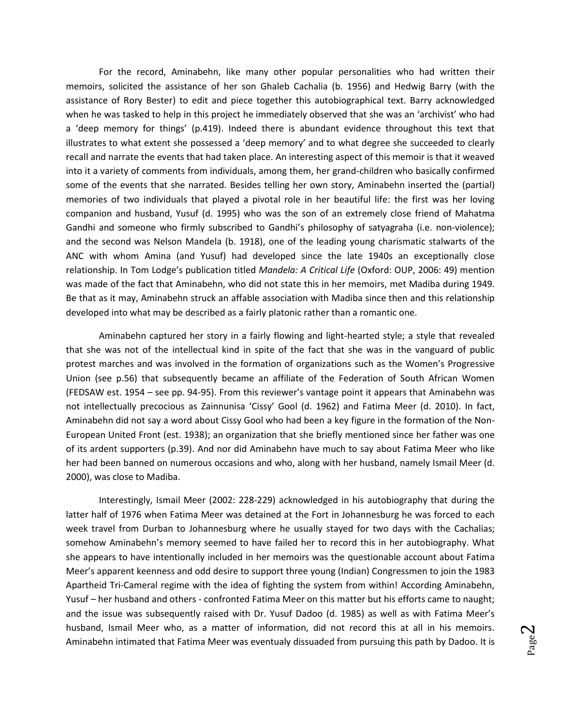For the record, Aminabehn, like many other popular personalities who had written their memoirs, solicited the assistance of her son Ghaleb Cachalia (b. 1956) and Hedwig Barry (with the assistance of Rory Bester) to edit and piece together this autobiographical text. Barry acknowledged when he was tasked to help in this project he immediately observed that she was an 'archivist' who had a 'deep memory for things' (p.419). Indeed there is abundant evidence throughout this text that illustrates to what extent she possessed a 'deep memory' and to what degree she succeeded to clearly recall and narrate the events that had taken place. An interesting aspect of this memoir is that it weaved into it a variety of comments from individuals, among them, her grand-children who basically confirmed some of the events that she narrated. Besides telling her own story, Aminabehn inserted the (partial) memories of two individuals that played a pivotal role in her beautiful life: the first was her loving companion and husband, Yusuf (d. 1995) who was the son of an extremely close friend of Mahatma Gandhi and someone who firmly subscribed to Gandhi's philosophy of satyagraha (i.e. non-violence); and the second was Nelson Mandela (b. 1918), one of the leading young charismatic stalwarts of the ANC with whom Amina (and Yusuf) had developed since the late 1940s an exceptionally close relationship. In Tom Lodge's publication titled *Mandela: A Critical Life* (Oxford: OUP, 2006: 49) mention was made of the fact that Aminabehn, who did not state this in her memoirs, met Madiba during 1949. Be that as it may, Aminabehn struck an affable association with Madiba since then and this relationship developed into what may be described as a fairly platonic rather than a romantic one.

Aminabehn captured her story in a fairly flowing and light-hearted style; a style that revealed that she was not of the intellectual kind in spite of the fact that she was in the vanguard of public protest marches and was involved in the formation of organizations such as the Women's Progressive Union (see p.56) that subsequently became an affiliate of the Federation of South African Women (FEDSAW est. 1954 – see pp. 94-95). From this reviewer's vantage point it appears that Aminabehn was not intellectually precocious as Zainnunisa 'Cissy' Gool (d. 1962) and Fatima Meer (d. 2010). In fact, Aminabehn did not say a word about Cissy Gool who had been a key figure in the formation of the Non-European United Front (est. 1938); an organization that she briefly mentioned since her father was one of its ardent supporters (p.39). And nor did Aminabehn have much to say about Fatima Meer who like her had been banned on numerous occasions and who, along with her husband, namely Ismail Meer (d. 2000), was close to Madiba.

Interestingly, Ismail Meer (2002: 228-229) acknowledged in his autobiography that during the latter half of 1976 when Fatima Meer was detained at the Fort in Johannesburg he was forced to each week travel from Durban to Johannesburg where he usually stayed for two days with the Cachalias; somehow Aminabehn's memory seemed to have failed her to record this in her autobiography. What she appears to have intentionally included in her memoirs was the questionable account about Fatima Meer's apparent keenness and odd desire to support three young (Indian) Congressmen to join the 1983 Apartheid Tri-Cameral regime with the idea of fighting the system from within! According Aminabehn, Yusuf – her husband and others - confronted Fatima Meer on this matter but his efforts came to naught; and the issue was subsequently raised with Dr. Yusuf Dadoo (d. 1985) as well as with Fatima Meer's husband, Ismail Meer who, as a matter of information, did not record this at all in his memoirs. Aminabehn intimated that Fatima Meer was eventualy dissuaded from pursuing this path by Dadoo. It is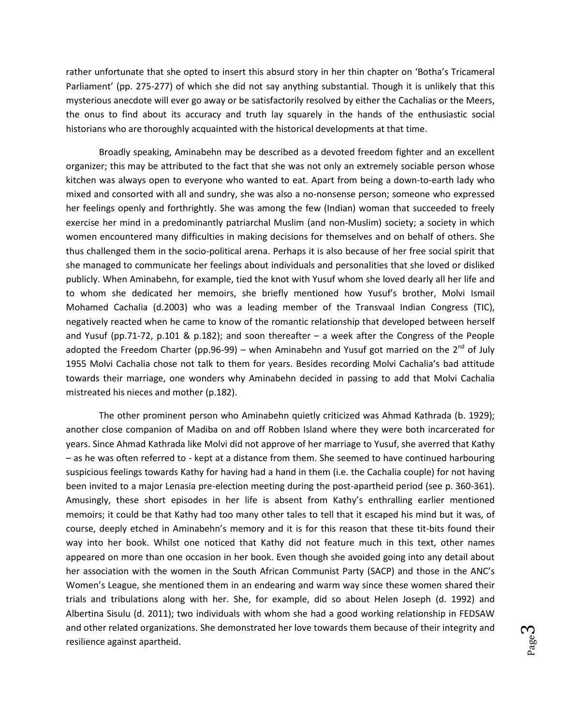rather unfortunate that she opted to insert this absurd story in her thin chapter on 'Botha's Tricameral Parliament' (pp. 275-277) of which she did not say anything substantial. Though it is unlikely that this mysterious anecdote will ever go away or be satisfactorily resolved by either the Cachalias or the Meers, the onus to find about its accuracy and truth lay squarely in the hands of the enthusiastic social historians who are thoroughly acquainted with the historical developments at that time.

Broadly speaking, Aminabehn may be described as a devoted freedom fighter and an excellent organizer; this may be attributed to the fact that she was not only an extremely sociable person whose kitchen was always open to everyone who wanted to eat. Apart from being a down-to-earth lady who mixed and consorted with all and sundry, she was also a no-nonsense person; someone who expressed her feelings openly and forthrightly. She was among the few (Indian) woman that succeeded to freely exercise her mind in a predominantly patriarchal Muslim (and non-Muslim) society; a society in which women encountered many difficulties in making decisions for themselves and on behalf of others. She thus challenged them in the socio-political arena. Perhaps it is also because of her free social spirit that she managed to communicate her feelings about individuals and personalities that she loved or disliked publicly. When Aminabehn, for example, tied the knot with Yusuf whom she loved dearly all her life and to whom she dedicated her memoirs, she briefly mentioned how Yusuf's brother, Molvi Ismail Mohamed Cachalia (d.2003) who was a leading member of the Transvaal Indian Congress (TIC), negatively reacted when he came to know of the romantic relationship that developed between herself and Yusuf (pp.71-72, p.101 & p.182); and soon thereafter – a week after the Congress of the People adopted the Freedom Charter (pp.96-99) – when Aminabehn and Yusuf got married on the  $2^{nd}$  of July 1955 Molvi Cachalia chose not talk to them for years. Besides recording Molvi Cachalia's bad attitude towards their marriage, one wonders why Aminabehn decided in passing to add that Molvi Cachalia mistreated his nieces and mother (p.182).

The other prominent person who Aminabehn quietly criticized was Ahmad Kathrada (b. 1929); another close companion of Madiba on and off Robben Island where they were both incarcerated for years. Since Ahmad Kathrada like Molvi did not approve of her marriage to Yusuf, she averred that Kathy – as he was often referred to - kept at a distance from them. She seemed to have continued harbouring suspicious feelings towards Kathy for having had a hand in them (i.e. the Cachalia couple) for not having been invited to a major Lenasia pre-election meeting during the post-apartheid period (see p. 360-361). Amusingly, these short episodes in her life is absent from Kathy's enthralling earlier mentioned memoirs; it could be that Kathy had too many other tales to tell that it escaped his mind but it was, of course, deeply etched in Aminabehn's memory and it is for this reason that these tit-bits found their way into her book. Whilst one noticed that Kathy did not feature much in this text, other names appeared on more than one occasion in her book. Even though she avoided going into any detail about her association with the women in the South African Communist Party (SACP) and those in the ANC's Women's League, she mentioned them in an endearing and warm way since these women shared their trials and tribulations along with her. She, for example, did so about Helen Joseph (d. 1992) and Albertina Sisulu (d. 2011); two individuals with whom she had a good working relationship in FEDSAW and other related organizations. She demonstrated her love towards them because of their integrity and resilience against apartheid.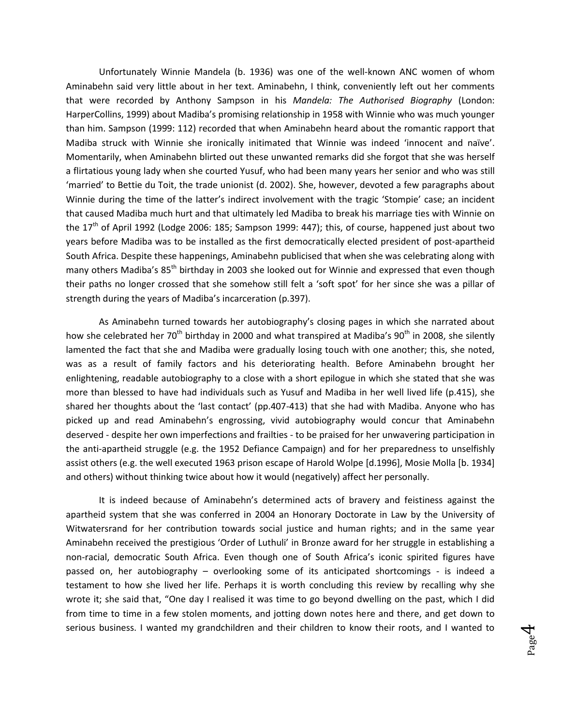Unfortunately Winnie Mandela (b. 1936) was one of the well-known ANC women of whom Aminabehn said very little about in her text. Aminabehn, I think, conveniently left out her comments that were recorded by Anthony Sampson in his *Mandela: The Authorised Biography* (London: HarperCollins, 1999) about Madiba's promising relationship in 1958 with Winnie who was much younger than him. Sampson (1999: 112) recorded that when Aminabehn heard about the romantic rapport that Madiba struck with Winnie she ironically initimated that Winnie was indeed 'innocent and naïve'. Momentarily, when Aminabehn blirted out these unwanted remarks did she forgot that she was herself a flirtatious young lady when she courted Yusuf, who had been many years her senior and who was still 'married' to Bettie du Toit, the trade unionist (d. 2002). She, however, devoted a few paragraphs about Winnie during the time of the latter's indirect involvement with the tragic 'Stompie' case; an incident that caused Madiba much hurt and that ultimately led Madiba to break his marriage ties with Winnie on the  $17<sup>th</sup>$  of April 1992 (Lodge 2006: 185; Sampson 1999: 447); this, of course, happened just about two years before Madiba was to be installed as the first democratically elected president of post-apartheid South Africa. Despite these happenings, Aminabehn publicised that when she was celebrating along with many others Madiba's 85<sup>th</sup> birthday in 2003 she looked out for Winnie and expressed that even though their paths no longer crossed that she somehow still felt a 'soft spot' for her since she was a pillar of strength during the years of Madiba's incarceration (p.397).

As Aminabehn turned towards her autobiography's closing pages in which she narrated about how she celebrated her  $70^{th}$  birthday in 2000 and what transpired at Madiba's  $90^{th}$  in 2008, she silently lamented the fact that she and Madiba were gradually losing touch with one another; this, she noted, was as a result of family factors and his deteriorating health. Before Aminabehn brought her enlightening, readable autobiography to a close with a short epilogue in which she stated that she was more than blessed to have had individuals such as Yusuf and Madiba in her well lived life (p.415), she shared her thoughts about the 'last contact' (pp.407-413) that she had with Madiba. Anyone who has picked up and read Aminabehn's engrossing, vivid autobiography would concur that Aminabehn deserved - despite her own imperfections and frailties - to be praised for her unwavering participation in the anti-apartheid struggle (e.g. the 1952 Defiance Campaign) and for her preparedness to unselfishly assist others (e.g. the well executed 1963 prison escape of Harold Wolpe [d.1996], Mosie Molla [b. 1934] and others) without thinking twice about how it would (negatively) affect her personally.

It is indeed because of Aminabehn's determined acts of bravery and feistiness against the apartheid system that she was conferred in 2004 an Honorary Doctorate in Law by the University of Witwatersrand for her contribution towards social justice and human rights; and in the same year Aminabehn received the prestigious 'Order of Luthuli' in Bronze award for her struggle in establishing a non-racial, democratic South Africa. Even though one of South Africa's iconic spirited figures have passed on, her autobiography – overlooking some of its anticipated shortcomings - is indeed a testament to how she lived her life. Perhaps it is worth concluding this review by recalling why she wrote it; she said that, "One day I realised it was time to go beyond dwelling on the past, which I did from time to time in a few stolen moments, and jotting down notes here and there, and get down to serious business. I wanted my grandchildren and their children to know their roots, and I wanted to